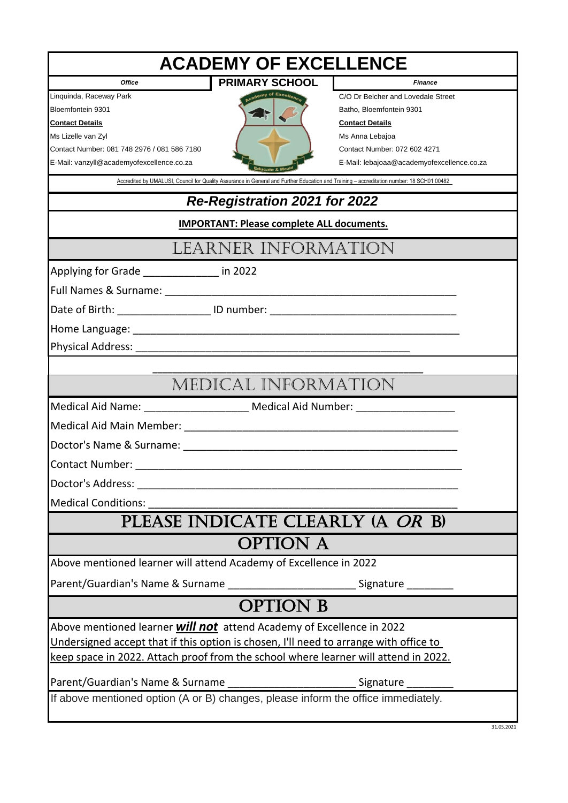| <b>ACADEMY OF EXCELLENCE</b>                                                          |                       |                                                                                                                                           |
|---------------------------------------------------------------------------------------|-----------------------|-------------------------------------------------------------------------------------------------------------------------------------------|
| <b>Office</b>                                                                         | <b>PRIMARY SCHOOL</b> | <b>Finance</b>                                                                                                                            |
| Linquinda, Raceway Park                                                               | of Excellenc          | C/O Dr Belcher and Lovedale Street                                                                                                        |
| Bloemfontein 9301                                                                     |                       | Batho, Bloemfontein 9301                                                                                                                  |
| <b>Contact Details</b>                                                                |                       | <b>Contact Details</b>                                                                                                                    |
| Ms Lizelle van Zyl<br>Contact Number: 081 748 2976 / 081 586 7180                     |                       | Ms Anna Lebajoa<br>Contact Number: 072 602 4271                                                                                           |
| E-Mail: vanzyll@academyofexcellence.co.za                                             |                       | E-Mail: lebajoaa@academyofexcellence.co.za                                                                                                |
|                                                                                       |                       | Accredited by UMALUSI, Council for Quality Assurance in General and Further Education and Training - accreditation number: 18 SCH01 00482 |
| Re-Registration 2021 for 2022                                                         |                       |                                                                                                                                           |
| <b>IMPORTANT: Please complete ALL documents.</b>                                      |                       |                                                                                                                                           |
| LEARNER INFORMATION                                                                   |                       |                                                                                                                                           |
| Applying for Grade _____________ in 2022                                              |                       |                                                                                                                                           |
|                                                                                       |                       |                                                                                                                                           |
| Date of Birth: ____________________ ID number: _________________________________      |                       |                                                                                                                                           |
|                                                                                       |                       |                                                                                                                                           |
|                                                                                       |                       |                                                                                                                                           |
|                                                                                       |                       |                                                                                                                                           |
| MEDICAL INFORMATION                                                                   |                       |                                                                                                                                           |
| Medical Aid Name: ______________________ Medical Aid Number: ___________________      |                       |                                                                                                                                           |
|                                                                                       |                       |                                                                                                                                           |
|                                                                                       |                       |                                                                                                                                           |
|                                                                                       |                       |                                                                                                                                           |
|                                                                                       |                       |                                                                                                                                           |
| <b>Medical Conditions:</b>                                                            |                       |                                                                                                                                           |
| PLEASE INDICATE CLEARLY (A OR B)                                                      |                       |                                                                                                                                           |
|                                                                                       | <b>OPTION A</b>       |                                                                                                                                           |
| Above mentioned learner will attend Academy of Excellence in 2022                     |                       |                                                                                                                                           |
| Parent/Guardian's Name & Surname ________________________________Signature __________ |                       |                                                                                                                                           |
|                                                                                       | <b>OPTION B</b>       |                                                                                                                                           |
| Above mentioned learner <b>will not</b> attend Academy of Excellence in 2022          |                       |                                                                                                                                           |
| Undersigned accept that if this option is chosen, I'll need to arrange with office to |                       |                                                                                                                                           |
| keep space in 2022. Attach proof from the school where learner will attend in 2022.   |                       |                                                                                                                                           |
|                                                                                       |                       |                                                                                                                                           |
|                                                                                       |                       |                                                                                                                                           |